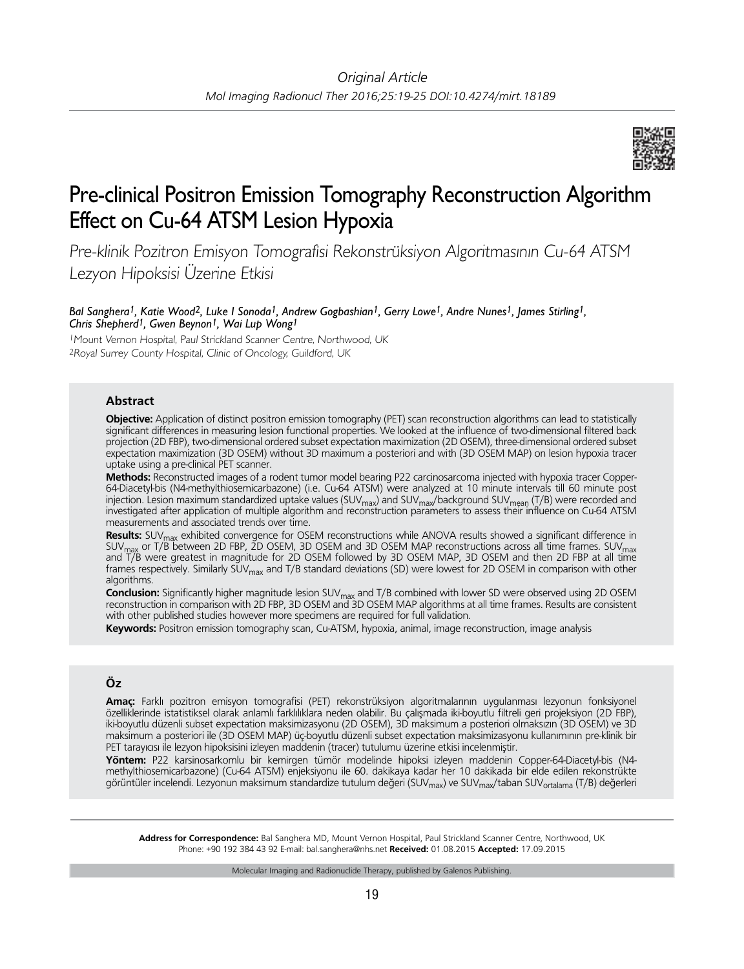

# Pre-clinical Positron Emission Tomography Reconstruction Algorithm Effect on Cu-64 ATSM Lesion Hypoxia

Pre-klinik Pozitron Emisyon Tomografisi Rekonstrüksiyon Algoritmasının Cu-64 ATSM Lezyon Hipoksisi Üzerine Etkisi

*Bal Sanghera1, Katie Wood2, Luke I Sonoda1, Andrew Gogbashian1, Gerry Lowe1, Andre Nunes1, James Stirling1, Chris Shepherd1, Gwen Beynon1, Wai Lup Wong1*

<sup>1</sup>Mount Vernon Hospital, Paul Strickland Scanner Centre, Northwood, UK <sup>2</sup>Royal Surrey County Hospital, Clinic of Oncology, Guildford, UK

## **Abstract**

**Objective:** Application of distinct positron emission tomography (PET) scan reconstruction algorithms can lead to statistically significant differences in measuring lesion functional properties. We looked at the influence of two-dimensional filtered back projection (2D FBP), two-dimensional ordered subset expectation maximization (2D OSEM), three-dimensional ordered subset expectation maximization (3D OSEM) without 3D maximum a posteriori and with (3D OSEM MAP) on lesion hypoxia tracer uptake using a pre-clinical PET scanner.

**Methods:** Reconstructed images of a rodent tumor model bearing P22 carcinosarcoma injected with hypoxia tracer Copper-64-Diacetyl-bis (N4-methylthiosemicarbazone) (i.e. Cu-64 ATSM) were analyzed at 10 minute intervals till 60 minute post injection. Lesion maximum standardized uptake values (SUV<sub>max</sub>) and SUV<sub>max</sub>/background SUV<sub>mean</sub> (T/B) were recorded and<br>investigated after application of multiple algorithm and reconstruction parameters to assess their i measurements and associated trends over time.

**Results:** SUVmax exhibited convergence for OSEM reconstructions while ANOVA results showed a significant difference in SUV<sub>max</sub> or T/B between 2D FBP, 2D OSEM, 3D OSEM and 3D OSEM MAP reconstructions across all time frames. SUV<sub>max</sub><br>and T/B were greatest in magnitude for 2D OSEM followed by 3D OSEM MAP, 3D OSEM and then 2D FBP at all time frames respectively. Similarly SUV<sub>max</sub> and T/B standard deviations (SD) were lowest for 2D OSEM in comparison with other algorithms.

**Conclusion:** Significantly higher magnitude lesion SUV<sub>max</sub> and T/B combined with lower SD were observed using 2D OSEM<br>reconstruction in comparison with 2D FBP, 3D OSEM and 3D OSEM MAP algorithms at all time frames. Resul with other published studies however more specimens are required for full validation.

**Keywords:** Positron emission tomography scan, Cu-ATSM, hypoxia, animal, image reconstruction, image analysis

# **Öz**

**Amaç:** Farklı pozitron emisyon tomografisi (PET) rekonstrüksiyon algoritmalarının uygulanması lezyonun fonksiyonel özelliklerinde istatistiksel olarak anlamlı farklılıklara neden olabilir. Bu çalışmada iki-boyutlu filtreli geri projeksiyon (2D FBP), iki-boyutlu düzenli subset expectation maksimizasyonu (2D OSEM), 3D maksimum a posteriori olmaksızın (3D OSEM) ve 3D maksimum a posteriori ile (3D OSEM MAP) üç-boyutlu düzenli subset expectation maksimizasyonu kullanımının pre-klinik bir PET tarayıcısı ile lezyon hipoksisini izleyen maddenin (tracer) tutulumu üzerine etkisi incelenmiştir.

**Yöntem:** P22 karsinosarkomlu bir kemirgen tümör modelinde hipoksi izleyen maddenin Copper-64-Diacetyl-bis (N4 methylthiosemicarbazone) (Cu-64 ATSM) enjeksiyonu ile 60. dakikaya kadar her 10 dakikada bir elde edilen rekonstrükte nisaryit ile sinderi karaları ile zyonun maksimum standardize tutulum değeri (SUV<sub>max</sub>) ve SUV<sub>max</sub>/taban SUV<sub>ortalama</sub> (T/B) değerleri

**Address for Correspondence:** Bal Sanghera MD, Mount Vernon Hospital, Paul Strickland Scanner Centre, Northwood, UK Phone: +90 192 384 43 92 E-mail: bal.sanghera@nhs.net **Received:** 01.08.2015 **Accepted:** 17.09.2015

Molecular Imaging and Radionuclide Therapy, published by Galenos Publishing.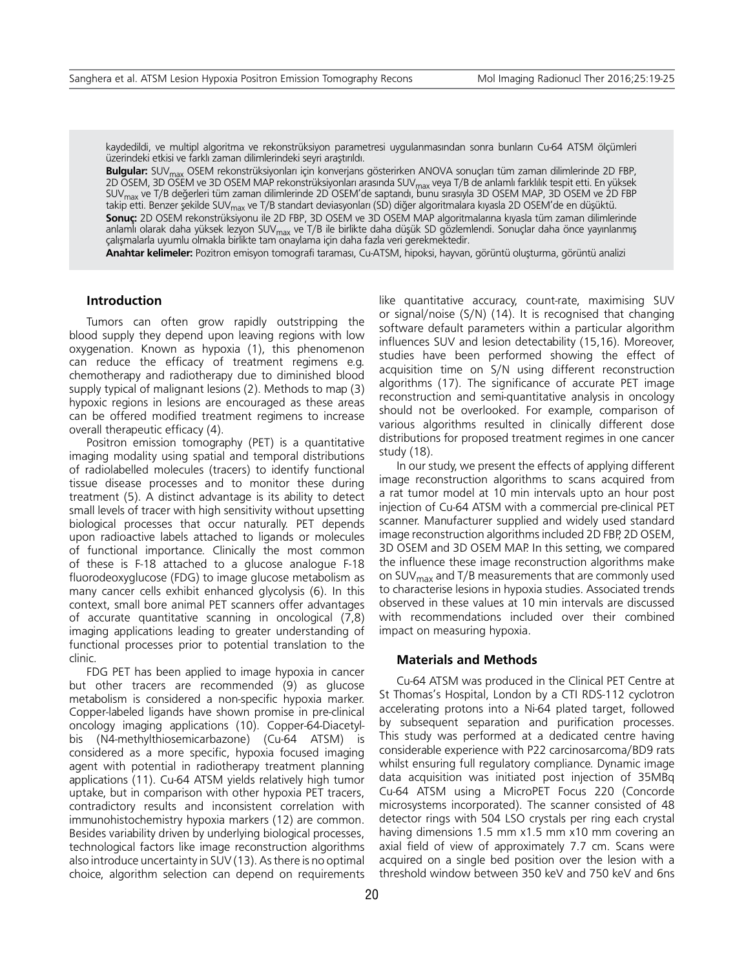kaydedildi, ve multipl algoritma ve rekonstrüksiyon parametresi uygulanmasından sonra bunların Cu-64 ATSM ölçümleri üzerindeki etkisi ve farklı zaman dilimlerindeki seyri araştırıldı.

**Bulgular:** SUVmax OSEM rekonstrüksiyonları için konverjans gösterirken ANOVA sonuçları tüm zaman dilimlerinde 2D FBP, 2D OSEM, 3D OSEM ve 3D OSEM MAP rekonstrüksiyonları arasında SUV<sub>max</sub> veya T/B de anlamlı farklılık tespit etti. En yüksek SUVmax ve T/B değerleri tüm zaman dilimlerinde 2D OSEM'de saptandı, bunu sırasıyla 3D OSEM MAP, 3D OSEM ve 2D FBP takip etti. Benzer şekilde SUV<sub>max</sub> ve T/B standart deviasyonları (SD) diğer algoritmalara kıyasla 2D OSEM'de en düşüktü. **Sonuç:** 2D OSEM rekonstrüksiyonu ile 2D FBP, 3D OSEM ve 3D OSEM MAP algoritmalarına kıyasla tüm zaman dilimlerinde anlamlı olarak daha yüksek lezyon SUV<sub>max</sub> ve T/B ile birlikte daha düşük SD gözlemlendi. Sonuçlar daha önce yayınlanmış çalışmalarla uyumlu olmakla birlikte tam onaylama için daha fazla veri gerekmektedir.

**Anahtar kelimeler:** Pozitron emisyon tomografi taraması, Cu-ATSM, hipoksi, hayvan, görüntü oluşturma, görüntü analizi

## **Introduction**

Tumors can often grow rapidly outstripping the blood supply they depend upon leaving regions with low oxygenation. Known as hypoxia (1), this phenomenon can reduce the efficacy of treatment regimens e.g. chemotherapy and radiotherapy due to diminished blood supply typical of malignant lesions (2). Methods to map (3) hypoxic regions in lesions are encouraged as these areas can be offered modified treatment regimens to increase overall therapeutic efficacy (4).

Positron emission tomography (PET) is a quantitative imaging modality using spatial and temporal distributions of radiolabelled molecules (tracers) to identify functional tissue disease processes and to monitor these during treatment (5). A distinct advantage is its ability to detect small levels of tracer with high sensitivity without upsetting biological processes that occur naturally. PET depends upon radioactive labels attached to ligands or molecules of functional importance. Clinically the most common of these is F-18 attached to a glucose analogue F-18 fluorodeoxyglucose (FDG) to image glucose metabolism as many cancer cells exhibit enhanced glycolysis (6). In this context, small bore animal PET scanners offer advantages of accurate quantitative scanning in oncological (7,8) imaging applications leading to greater understanding of functional processes prior to potential translation to the clinic.

FDG PET has been applied to image hypoxia in cancer but other tracers are recommended (9) as glucose metabolism is considered a non-specific hypoxia marker. Copper-labeled ligands have shown promise in pre-clinical oncology imaging applications (10). Copper-64-Diacetylbis (N4-methylthiosemicarbazone) (Cu-64 ATSM) is considered as a more specific, hypoxia focused imaging agent with potential in radiotherapy treatment planning applications (11). Cu-64 ATSM yields relatively high tumor uptake, but in comparison with other hypoxia PET tracers, contradictory results and inconsistent correlation with immunohistochemistry hypoxia markers (12) are common. Besides variability driven by underlying biological processes, technological factors like image reconstruction algorithms also introduce uncertainty in SUV (13). As there is no optimal choice, algorithm selection can depend on requirements like quantitative accuracy, count-rate, maximising SUV or signal/noise (S/N) (14). It is recognised that changing software default parameters within a particular algorithm influences SUV and lesion detectability (15,16). Moreover, studies have been performed showing the effect of acquisition time on S/N using different reconstruction algorithms (17). The significance of accurate PET image reconstruction and semi-quantitative analysis in oncology should not be overlooked. For example, comparison of various algorithms resulted in clinically different dose distributions for proposed treatment regimes in one cancer study (18).

In our study, we present the effects of applying different image reconstruction algorithms to scans acquired from a rat tumor model at 10 min intervals upto an hour post injection of Cu-64 ATSM with a commercial pre-clinical PET scanner. Manufacturer supplied and widely used standard image reconstruction algorithms included 2D FBP, 2D OSEM, 3D OSEM and 3D OSEM MAP. In this setting, we compared the influence these image reconstruction algorithms make on SUV $_{\text{max}}$  and T/B measurements that are commonly used to characterise lesions in hypoxia studies. Associated trends observed in these values at 10 min intervals are discussed with recommendations included over their combined impact on measuring hypoxia.

## **Materials and Methods**

Cu-64 ATSM was produced in the Clinical PET Centre at St Thomas's Hospital, London by a CTI RDS-112 cyclotron accelerating protons into a Ni-64 plated target, followed by subsequent separation and purification processes. This study was performed at a dedicated centre having considerable experience with P22 carcinosarcoma/BD9 rats whilst ensuring full regulatory compliance. Dynamic image data acquisition was initiated post injection of 35MBq Cu-64 ATSM using a MicroPET Focus 220 (Concorde microsystems incorporated). The scanner consisted of 48 detector rings with 504 LSO crystals per ring each crystal having dimensions 1.5 mm x1.5 mm x10 mm covering an axial field of view of approximately 7.7 cm. Scans were acquired on a single bed position over the lesion with a threshold window between 350 keV and 750 keV and 6ns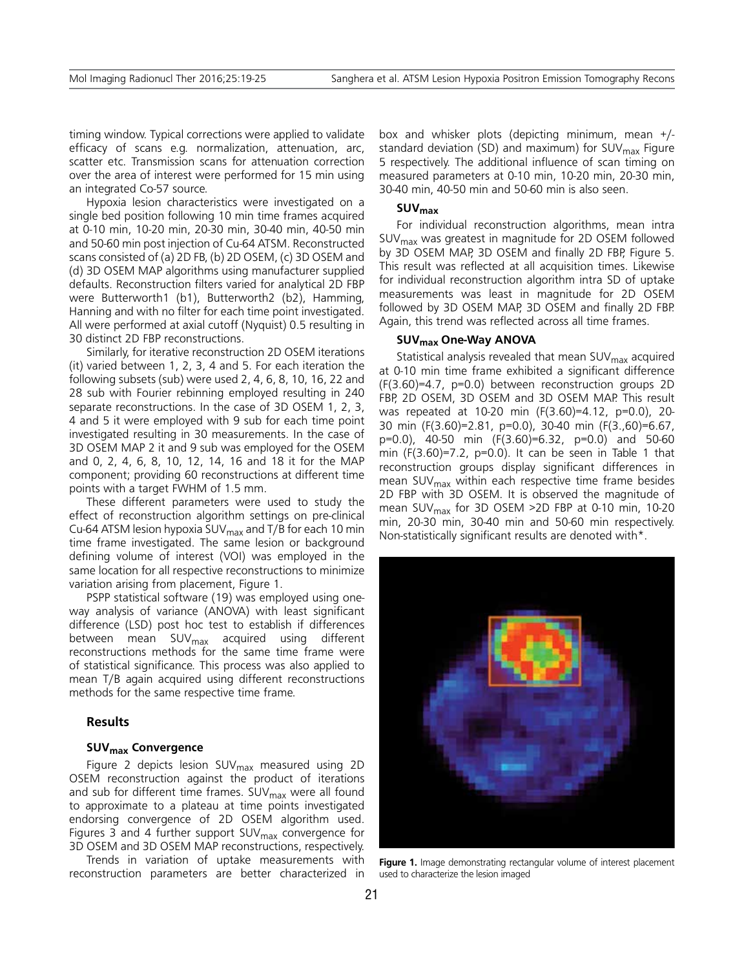timing window. Typical corrections were applied to validate efficacy of scans e.g. normalization, attenuation, arc, scatter etc. Transmission scans for attenuation correction over the area of interest were performed for 15 min using an integrated Co-57 source.

Hypoxia lesion characteristics were investigated on a single bed position following 10 min time frames acquired at 0-10 min, 10-20 min, 20-30 min, 30-40 min, 40-50 min and 50-60 min post injection of Cu-64 ATSM. Reconstructed scans consisted of (a) 2D FB, (b) 2D OSEM, (c) 3D OSEM and (d) 3D OSEM MAP algorithms using manufacturer supplied defaults. Reconstruction filters varied for analytical 2D FBP were Butterworth1 (b1), Butterworth2 (b2), Hamming, Hanning and with no filter for each time point investigated. All were performed at axial cutoff (Nyquist) 0.5 resulting in 30 distinct 2D FBP reconstructions.

Similarly, for iterative reconstruction 2D OSEM iterations (it) varied between 1, 2, 3, 4 and 5. For each iteration the following subsets (sub) were used 2, 4, 6, 8, 10, 16, 22 and 28 sub with Fourier rebinning employed resulting in 240 separate reconstructions. In the case of 3D OSEM 1, 2, 3, 4 and 5 it were employed with 9 sub for each time point investigated resulting in 30 measurements. In the case of 3D OSEM MAP 2 it and 9 sub was employed for the OSEM and 0, 2, 4, 6, 8, 10, 12, 14, 16 and 18 it for the MAP component; providing 60 reconstructions at different time points with a target FWHM of 1.5 mm.

These different parameters were used to study the effect of reconstruction algorithm settings on pre-clinical Cu-64 ATSM lesion hypoxia SUV $_{\text{max}}$  and T/B for each 10 min time frame investigated. The same lesion or background defining volume of interest (VOI) was employed in the same location for all respective reconstructions to minimize variation arising from placement, Figure 1.

PSPP statistical software (19) was employed using oneway analysis of variance (ANOVA) with least significant difference (LSD) post hoc test to establish if differences between mean SUV<sub>max</sub> acquired using different reconstructions methods for the same time frame were of statistical significance. This process was also applied to mean T/B again acquired using different reconstructions methods for the same respective time frame.

## **Results**

#### SUV<sub>max</sub> Convergence

Figure 2 depicts lesion SUV<sub>max</sub> measured using 2D OSEM reconstruction against the product of iterations and sub for different time frames. SUV<sub>max</sub> were all found to approximate to a plateau at time points investigated endorsing convergence of 2D OSEM algorithm used. Figures 3 and 4 further support  $SUV<sub>max</sub>$  convergence for 3D OSEM and 3D OSEM MAP reconstructions, respectively.

Trends in variation of uptake measurements with reconstruction parameters are better characterized in box and whisker plots (depicting minimum, mean +/ standard deviation (SD) and maximum) for  $SUV<sub>max</sub>$  Figure 5 respectively. The additional influence of scan timing on measured parameters at 0-10 min, 10-20 min, 20-30 min, 30-40 min, 40-50 min and 50-60 min is also seen.

## **SUVmax**

For individual reconstruction algorithms, mean intra SUVmax was greatest in magnitude for 2D OSEM followed by 3D OSEM MAP, 3D OSEM and finally 2D FBP, Figure 5. This result was reflected at all acquisition times. Likewise for individual reconstruction algorithm intra SD of uptake measurements was least in magnitude for 2D OSEM followed by 3D OSEM MAP, 3D OSEM and finally 2D FBP. Again, this trend was reflected across all time frames.

#### **SUVmax One-Way ANOVA**

Statistical analysis revealed that mean  $SUV<sub>max</sub>$  acquired at 0-10 min time frame exhibited a significant difference (F(3.60)=4.7, p=0.0) between reconstruction groups 2D FBP, 2D OSEM, 3D OSEM and 3D OSEM MAP. This result was repeated at 10-20 min (F(3.60)=4.12, p=0.0), 20- 30 min (F(3.60)=2.81, p=0.0), 30-40 min (F(3.,60)=6.67, p=0.0), 40-50 min (F(3.60)=6.32, p=0.0) and 50-60 min (F(3.60)=7.2, p=0.0). It can be seen in Table 1 that reconstruction groups display significant differences in mean SUV $_{\text{max}}$  within each respective time frame besides 2D FBP with 3D OSEM. It is observed the magnitude of mean SUV<sub>max</sub> for 3D OSEM >2D FBP at 0-10 min, 10-20 min, 20-30 min, 30-40 min and 50-60 min respectively. Non-statistically significant results are denoted with\*.



**Figure 1.** Image demonstrating rectangular volume of interest placement used to characterize the lesion imaged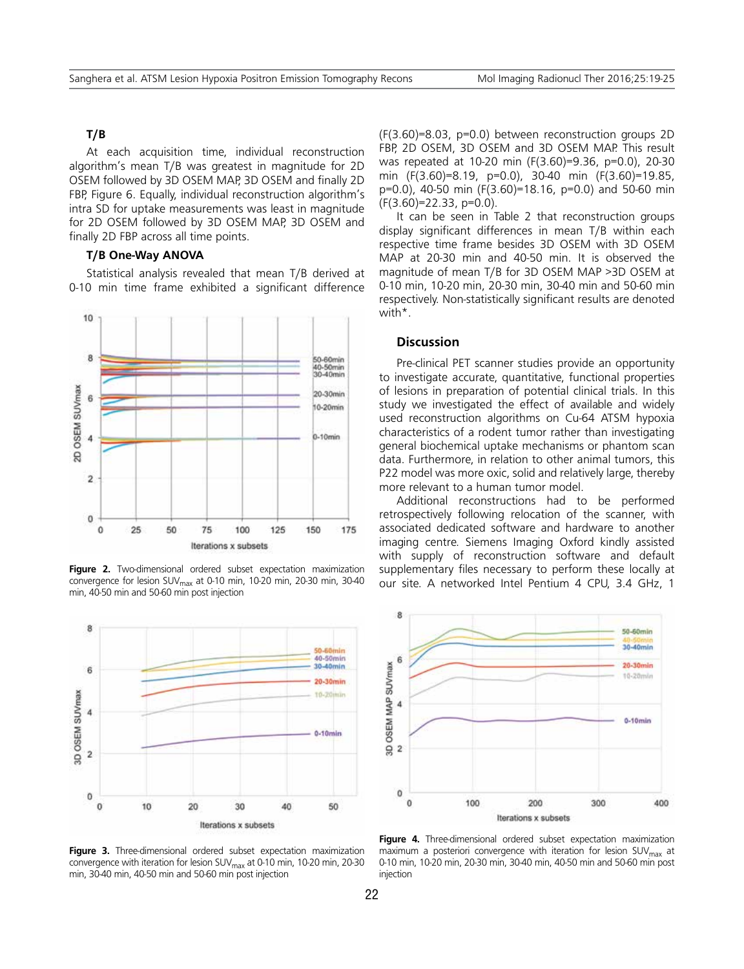## **T/B**

At each acquisition time, individual reconstruction algorithm's mean T/B was greatest in magnitude for 2D OSEM followed by 3D OSEM MAP, 3D OSEM and finally 2D FBP, Figure 6. Equally, individual reconstruction algorithm's intra SD for uptake measurements was least in magnitude for 2D OSEM followed by 3D OSEM MAP, 3D OSEM and finally 2D FBP across all time points.

## **T/B One-Way ANOVA**

Statistical analysis revealed that mean T/B derived at 0-10 min time frame exhibited a significant difference



**Figure 2.** Two-dimensional ordered subset expectation maximization convergence for lesion SUV<sub>max</sub> at 0-10 min, 10-20 min, 20-30 min, 30-40 min, 40-50 min and 50-60 min post injection



Figure 3. Three-dimensional ordered subset expectation maximization convergence with iteration for lesion SUV $_{\text{max}}$  at 0-10 min, 10-20 min, 20-30 min, 30-40 min, 40-50 min and 50-60 min post injection

(F(3.60)=8.03, p=0.0) between reconstruction groups 2D FBP, 2D OSEM, 3D OSEM and 3D OSEM MAP. This result was repeated at 10-20 min (F(3.60)=9.36, p=0.0), 20-30 min (F(3.60)=8.19, p=0.0), 30-40 min (F(3.60)=19.85, p=0.0), 40-50 min (F(3.60)=18.16, p=0.0) and 50-60 min (F(3.60)=22.33, p=0.0).

It can be seen in Table 2 that reconstruction groups display significant differences in mean T/B within each respective time frame besides 3D OSEM with 3D OSEM MAP at 20-30 min and 40-50 min. It is observed the magnitude of mean T/B for 3D OSEM MAP >3D OSEM at 0-10 min, 10-20 min, 20-30 min, 30-40 min and 50-60 min respectively. Non-statistically significant results are denoted with\*.

## **Discussion**

Pre-clinical PET scanner studies provide an opportunity to investigate accurate, quantitative, functional properties of lesions in preparation of potential clinical trials. In this study we investigated the effect of available and widely used reconstruction algorithms on Cu-64 ATSM hypoxia characteristics of a rodent tumor rather than investigating general biochemical uptake mechanisms or phantom scan data. Furthermore, in relation to other animal tumors, this P22 model was more oxic, solid and relatively large, thereby more relevant to a human tumor model.

Additional reconstructions had to be performed retrospectively following relocation of the scanner, with associated dedicated software and hardware to another imaging centre. Siemens Imaging Oxford kindly assisted with supply of reconstruction software and default supplementary files necessary to perform these locally at our site. A networked Intel Pentium 4 CPU, 3.4 GHz, 1



Figure 4. Three-dimensional ordered subset expectation maximization maximum a posteriori convergence with iteration for lesion  $SUV<sub>max</sub>$  at 0-10 min, 10-20 min, 20-30 min, 30-40 min, 40-50 min and 50-60 min post injection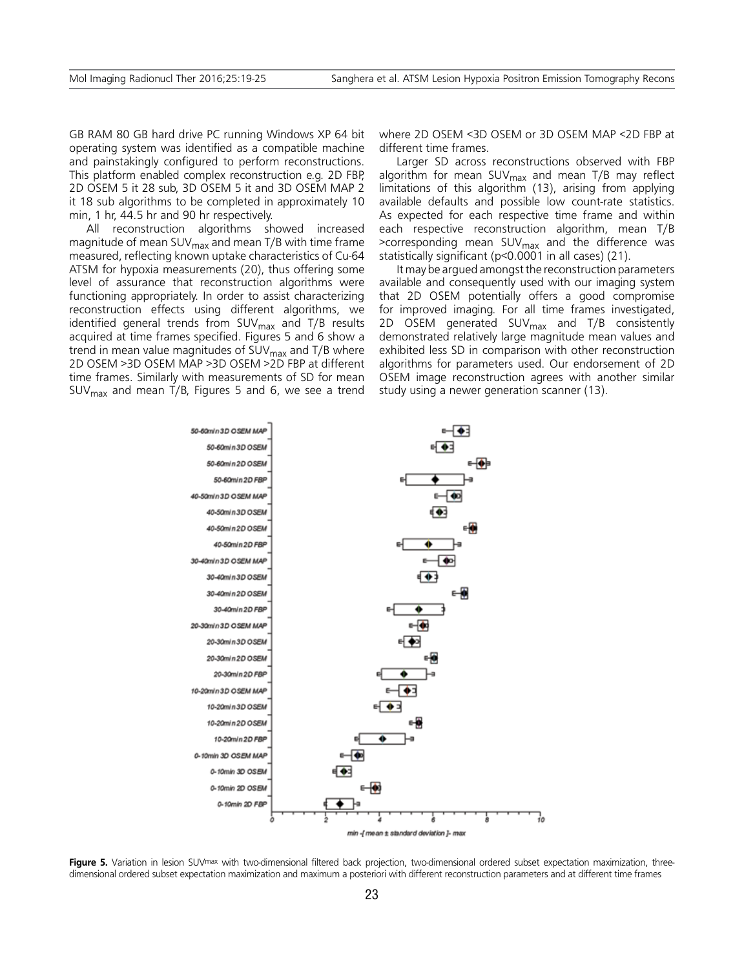GB RAM 80 GB hard drive PC running Windows XP 64 bit operating system was identified as a compatible machine and painstakingly configured to perform reconstructions. This platform enabled complex reconstruction e.g. 2D FBP, 2D OSEM 5 it 28 sub, 3D OSEM 5 it and 3D OSEM MAP 2 it 18 sub algorithms to be completed in approximately 10 min, 1 hr, 44.5 hr and 90 hr respectively.

All reconstruction algorithms showed increased magnitude of mean SUV $_{\text{max}}$  and mean T/B with time frame measured, reflecting known uptake characteristics of Cu-64 ATSM for hypoxia measurements (20), thus offering some level of assurance that reconstruction algorithms were functioning appropriately. In order to assist characterizing reconstruction effects using different algorithms, we identified general trends from  $SUV_{max}$  and T/B results acquired at time frames specified. Figures 5 and 6 show a trend in mean value magnitudes of  $SUV<sub>max</sub>$  and T/B where 2D OSEM >3D OSEM MAP >3D OSEM >2D FBP at different time frames. Similarly with measurements of SD for mean SUV $_{\text{max}}$  and mean T/B, Figures 5 and 6, we see a trend

where 2D OSEM <3D OSEM or 3D OSEM MAP <2D FBP at different time frames.

Larger SD across reconstructions observed with FBP algorithm for mean  $SUV_{max}$  and mean T/B may reflect limitations of this algorithm (13), arising from applying available defaults and possible low count-rate statistics. As expected for each respective time frame and within each respective reconstruction algorithm, mean T/B >corresponding mean SUV $_{\text{max}}$  and the difference was statistically significant (p<0.0001 in all cases) (21).

It may be argued amongst the reconstruction parameters available and consequently used with our imaging system that 2D OSEM potentially offers a good compromise for improved imaging. For all time frames investigated, 2D OSEM generated  $SUV_{max}$  and  $T/B$  consistently demonstrated relatively large magnitude mean values and exhibited less SD in comparison with other reconstruction algorithms for parameters used. Our endorsement of 2D OSEM image reconstruction agrees with another similar study using a newer generation scanner (13).



Figure 5. Variation in lesion SUV<sup>max</sup> with two-dimensional filtered back projection, two-dimensional ordered subset expectation maximization, threedimensional ordered subset expectation maximization and maximum a posteriori with different reconstruction parameters and at different time frames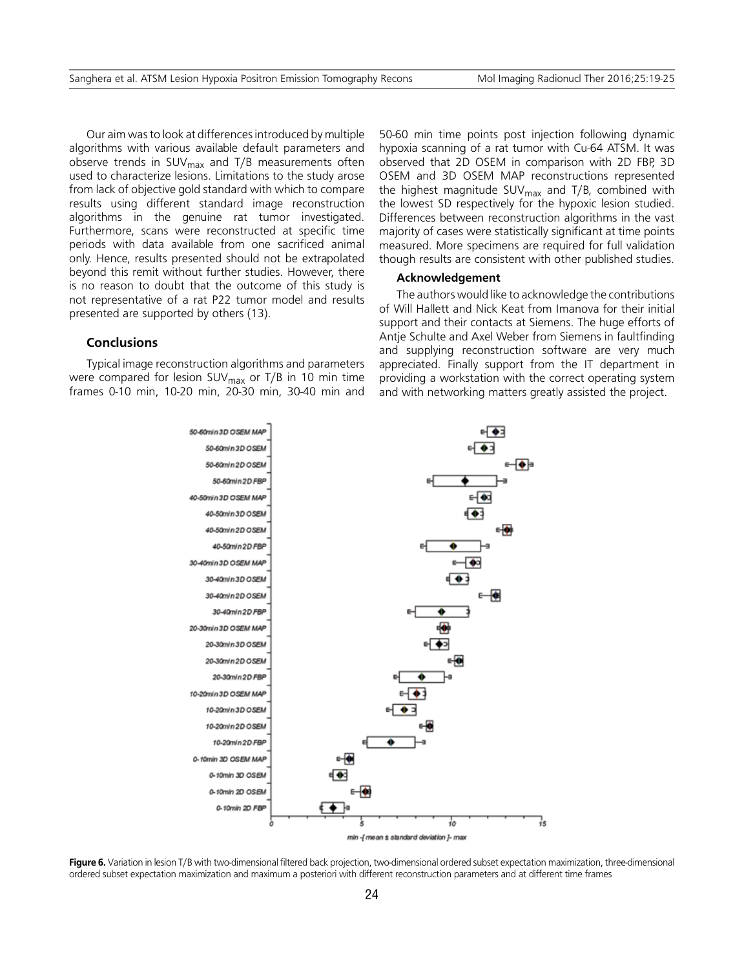Our aim was to look at differences introduced by multiple algorithms with various available default parameters and observe trends in SUV $_{\text{max}}$  and T/B measurements often used to characterize lesions. Limitations to the study arose from lack of objective gold standard with which to compare results using different standard image reconstruction algorithms in the genuine rat tumor investigated. Furthermore, scans were reconstructed at specific time periods with data available from one sacrificed animal only. Hence, results presented should not be extrapolated beyond this remit without further studies. However, there is no reason to doubt that the outcome of this study is not representative of a rat P22 tumor model and results presented are supported by others (13).

## **Conclusions**

Typical image reconstruction algorithms and parameters were compared for lesion SUV $_{\text{max}}$  or T/B in 10 min time frames 0-10 min, 10-20 min, 20-30 min, 30-40 min and 50-60 min time points post injection following dynamic hypoxia scanning of a rat tumor with Cu-64 ATSM. It was observed that 2D OSEM in comparison with 2D FBP, 3D OSEM and 3D OSEM MAP reconstructions represented the highest magnitude  $SUV_{max}$  and T/B, combined with the lowest SD respectively for the hypoxic lesion studied. Differences between reconstruction algorithms in the vast majority of cases were statistically significant at time points measured. More specimens are required for full validation though results are consistent with other published studies.

#### **Acknowledgement**

The authors would like to acknowledge the contributions of Will Hallett and Nick Keat from Imanova for their initial support and their contacts at Siemens. The huge efforts of Antje Schulte and Axel Weber from Siemens in faultfinding and supplying reconstruction software are very much appreciated. Finally support from the IT department in providing a workstation with the correct operating system and with networking matters greatly assisted the project.



Figure 6. Variation in lesion T/B with two-dimensional filtered back projection, two-dimensional ordered subset expectation maximization, three-dimensional ordered subset expectation maximization and maximum a posteriori with different reconstruction parameters and at different time frames